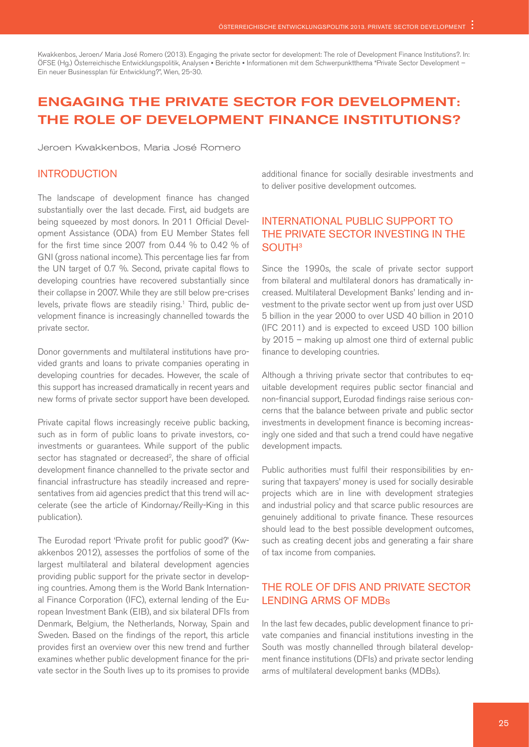Kwakkenbos, Jeroen/ Maria José Romero (2013). Engaging the private sector for development: The role of Development Finance Institutions?. In: ÖFSE (Hg.) Österreichische Entwicklungspolitik, Analysen ▪ Berichte ▪ Informationen mit dem Schwerpunktthema "Private Sector Development – Ein neuer Businessplan für Entwicklung?", Wien, 25-30.

# Engaging the private sector for development: The role of Development Finance Institutions?

Jeroen Kwakkenbos, Maria José Romero

#### **INTRODUCTION**

The landscape of development finance has changed substantially over the last decade. First, aid budgets are being squeezed by most donors. In 2011 Official Development Assistance (ODA) from EU Member States fell for the first time since 2007 from 0.44 % to 0.42 % of GNI (gross national income). This percentage lies far from the UN target of 0.7 %. Second, private capital flows to developing countries have recovered substantially since their collapse in 2007. While they are still below pre-crises levels, private flows are steadily rising.<sup>1</sup> Third, public development finance is increasingly channelled towards the private sector.

Donor governments and multilateral institutions have provided grants and loans to private companies operating in developing countries for decades. However, the scale of this support has increased dramatically in recent years and new forms of private sector support have been developed.

Private capital flows increasingly receive public backing, such as in form of public loans to private investors, coinvestments or guarantees. While support of the public sector has stagnated or decreased<sup>2</sup>, the share of official development finance channelled to the private sector and financial infrastructure has steadily increased and representatives from aid agencies predict that this trend will accelerate (see the article of Kindornay/Reilly-King in this publication).

The Eurodad report 'Private profit for public good?' (Kwakkenbos 2012), assesses the portfolios of some of the largest multilateral and bilateral development agencies providing public support for the private sector in developing countries. Among them is the World Bank International Finance Corporation (IFC), external lending of the European Investment Bank (EIB), and six bilateral DFIs from Denmark, Belgium, the Netherlands, Norway, Spain and Sweden. Based on the findings of the report, this article provides first an overview over this new trend and further examines whether public development finance for the private sector in the South lives up to its promises to provide additional finance for socially desirable investments and to deliver positive development outcomes.

# International public support to the private sector investing in the **SOUTH<sup>3</sup>**

Since the 1990s, the scale of private sector support from bilateral and multilateral donors has dramatically increased. Multilateral Development Banks' lending and investment to the private sector went up from just over USD 5 billion in the year 2000 to over USD 40 billion in 2010 (IFC 2011) and is expected to exceed USD 100 billion by 2015 – making up almost one third of external public finance to developing countries.

Although a thriving private sector that contributes to equitable development requires public sector financial and non-financial support, Eurodad findings raise serious concerns that the balance between private and public sector investments in development finance is becoming increasingly one sided and that such a trend could have negative development impacts.

Public authorities must fulfil their responsibilities by ensuring that taxpayers' money is used for socially desirable projects which are in line with development strategies and industrial policy and that scarce public resources are genuinely additional to private finance. These resources should lead to the best possible development outcomes, such as creating decent jobs and generating a fair share of tax income from companies.

# The role of DFIs and private sector lending arms of MDBs

In the last few decades, public development finance to private companies and financial institutions investing in the South was mostly channelled through bilateral development finance institutions (DFIs) and private sector lending arms of multilateral development banks (MDBs).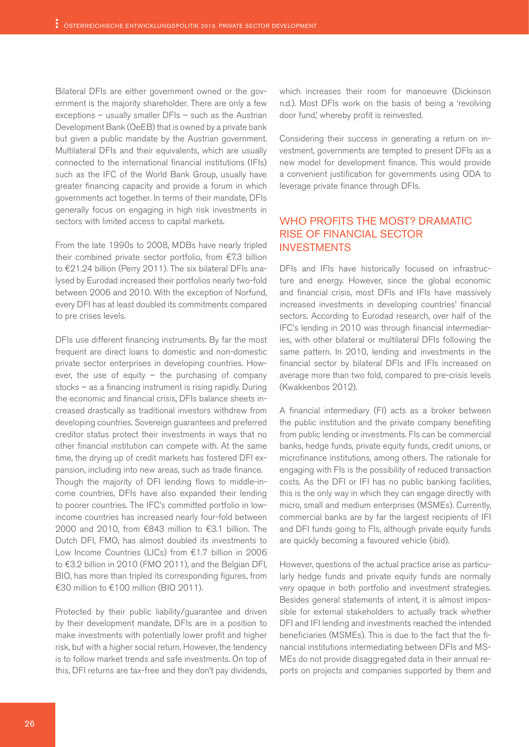Bilateral DFIs are either government owned or the government is the majority shareholder. There are only a few exceptions – usually smaller DFIs – such as the Austrian Development Bank (OeEB) that is owned by a private bank but given a public mandate by the Austrian government. Multilateral DFIs and their equivalents, which are usually connected to the international financial institutions (IFIs) such as the IFC of the World Bank Group, usually have greater financing capacity and provide a forum in which governments act together. In terms of their mandate, DFIs generally focus on engaging in high risk investments in sectors with limited access to capital markets.

From the late 1990s to 2008, MDBs have nearly tripled their combined private sector portfolio, from €7.3 billion to €21.24 billion (Perry 2011). The six bilateral DFIs analysed by Eurodad increased their portfolios nearly two-fold between 2006 and 2010. With the exception of Norfund, every DFI has at least doubled its commitments compared to pre crises levels.

DFIs use different financing instruments. By far the most frequent are direct loans to domestic and non-domestic private sector enterprises in developing countries. However, the use of equity  $-$  the purchasing of company stocks – as a financing instrument is rising rapidly. During the economic and financial crisis, DFIs balance sheets increased drastically as traditional investors withdrew from developing countries. Sovereign guarantees and preferred creditor status protect their investments in ways that no other financial institution can compete with. At the same time, the drying up of credit markets has fostered DFI expansion, including into new areas, such as trade finance. Though the majority of DFI lending flows to middle-income countries, DFIs have also expanded their lending to poorer countries. The IFC's committed portfolio in lowincome countries has increased nearly four-fold between 2000 and 2010, from €843 million to €3.1 billion. The Dutch DFI, FMO, has almost doubled its investments to Low Income Countries (LICs) from €1.7 billion in 2006 to €3.2 billion in 2010 (FMO 2011), and the Belgian DFI, BIO, has more than tripled its corresponding figures, from €30 million to €100 million (BIO 2011).

Protected by their public liability/guarantee and driven by their development mandate, DFIs are in a position to make investments with potentially lower profit and higher risk, but with a higher social return. However, the tendency is to follow market trends and safe investments. On top of this, DFI returns are tax-free and they don't pay dividends, which increases their room for manoeuvre (Dickinson n.d.). Most DFIs work on the basis of being a 'revolving door fund,' whereby profit is reinvested.

Considering their success in generating a return on investment, governments are tempted to present DFIs as a new model for development finance. This would provide a convenient justification for governments using ODA to leverage private finance through DFIs.

#### Who profits the most? Dramatic rise of financial sector **INVESTMENTS**

DFIs and IFIs have historically focused on infrastructure and energy. However, since the global economic and financial crisis, most DFIs and IFIs have massively increased investments in developing countries' financial sectors. According to Eurodad research, over half of the IFC's lending in 2010 was through financial intermediaries, with other bilateral or multilateral DFIs following the same pattern. In 2010, lending and investments in the financial sector by bilateral DFIs and IFIs increased on average more than two fold, compared to pre-crisis levels (Kwakkenbos 2012).

A financial intermediary (FI) acts as a broker between the public institution and the private company benefiting from public lending or investments. FIs can be commercial banks, hedge funds, private equity funds, credit unions, or microfinance institutions, among others. The rationale for engaging with FIs is the possibility of reduced transaction costs. As the DFI or IFI has no public banking facilities, this is the only way in which they can engage directly with micro, small and medium enterprises (MSMEs). Currently, commercial banks are by far the largest recipients of IFI and DFI funds going to FIs, although private equity funds are quickly becoming a favoured vehicle (ibid).

However, questions of the actual practice arise as particularly hedge funds and private equity funds are normally very opaque in both portfolio and investment strategies. Besides general statements of intent, it is almost impossible for external stakeholders to actually track whether DFI and IFI lending and investments reached the intended beneficiaries (MSMEs). This is due to the fact that the financial institutions intermediating between DFIs and MS-MEs do not provide disaggregated data in their annual reports on projects and companies supported by them and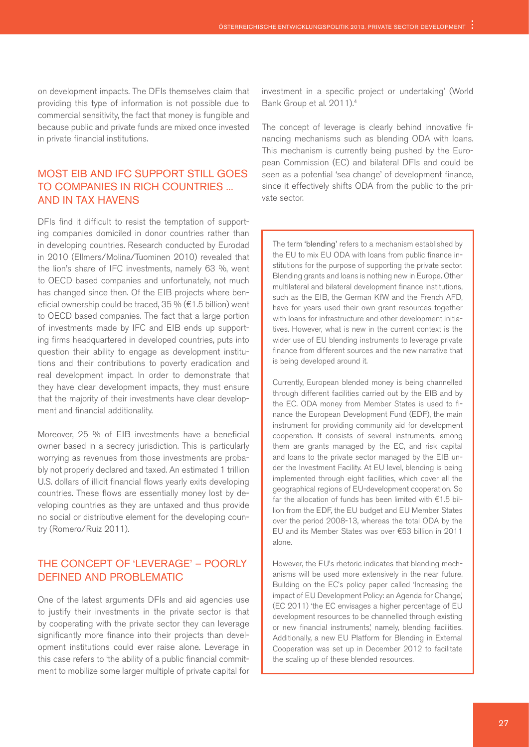on development impacts. The DFIs themselves claim that providing this type of information is not possible due to commercial sensitivity, the fact that money is fungible and because public and private funds are mixed once invested in private financial institutions.

# Most EIB and IFC support still goes to companies in rich countries ... and in tax havens

DFIs find it difficult to resist the temptation of supporting companies domiciled in donor countries rather than in developing countries. Research conducted by Eurodad in 2010 (Ellmers/Molina/Tuominen 2010) revealed that the lion's share of IFC investments, namely 63 %, went to OECD based companies and unfortunately, not much has changed since then. Of the EIB projects where beneficial ownership could be traced, 35 % (€1.5 billion) went to OECD based companies. The fact that a large portion of investments made by IFC and EIB ends up supporting firms headquartered in developed countries, puts into question their ability to engage as development institutions and their contributions to poverty eradication and real development impact. In order to demonstrate that they have clear development impacts, they must ensure that the majority of their investments have clear development and financial additionality.

Moreover, 25 % of EIB investments have a beneficial owner based in a secrecy jurisdiction. This is particularly worrying as revenues from those investments are probably not properly declared and taxed. An estimated 1 trillion U.S. dollars of illicit financial flows yearly exits developing countries. These flows are essentially money lost by developing countries as they are untaxed and thus provide no social or distributive element for the developing country (Romero/Ruiz 2011).

### The concept of 'leverage' – poorly defined and problematic

One of the latest arguments DFIs and aid agencies use to justify their investments in the private sector is that by cooperating with the private sector they can leverage significantly more finance into their projects than development institutions could ever raise alone. Leverage in this case refers to 'the ability of a public financial commitment to mobilize some larger multiple of private capital for investment in a specific project or undertaking' (World Bank Group et al. 2011).4

The concept of leverage is clearly behind innovative financing mechanisms such as blending ODA with loans. This mechanism is currently being pushed by the European Commission (EC) and bilateral DFIs and could be seen as a potential 'sea change' of development finance, since it effectively shifts ODA from the public to the private sector.

The term 'blending' refers to a mechanism established by the EU to mix EU ODA with loans from public finance institutions for the purpose of supporting the private sector. Blending grants and loans is nothing new in Europe. Other multilateral and bilateral development finance institutions, such as the EIB, the German KfW and the French AFD, have for years used their own grant resources together with loans for infrastructure and other development initiatives. However, what is new in the current context is the wider use of EU blending instruments to leverage private finance from different sources and the new narrative that is being developed around it.

Currently, European blended money is being channelled through different facilities carried out by the EIB and by the EC. ODA money from Member States is used to finance the European Development Fund (EDF), the main instrument for providing community aid for development cooperation. It consists of several instruments, among them are grants managed by the EC, and risk capital and loans to the private sector managed by the EIB under the Investment Facility. At EU level, blending is being implemented through eight facilities, which cover all the geographical regions of EU-development cooperation. So far the allocation of funds has been limited with €1.5 billion from the EDF, the EU budget and EU Member States over the period 2008-13, whereas the total ODA by the EU and its Member States was over €53 billion in 2011 alone.

However, the EU's rhetoric indicates that blending mechanisms will be used more extensively in the near future. Building on the EC's policy paper called 'Increasing the impact of EU Development Policy: an Agenda for Change,' (EC 2011) 'the EC envisages a higher percentage of EU development resources to be channelled through existing or new financial instruments' namely, blending facilities. Additionally, a new EU Platform for Blending in External Cooperation was set up in December 2012 to facilitate the scaling up of these blended resources.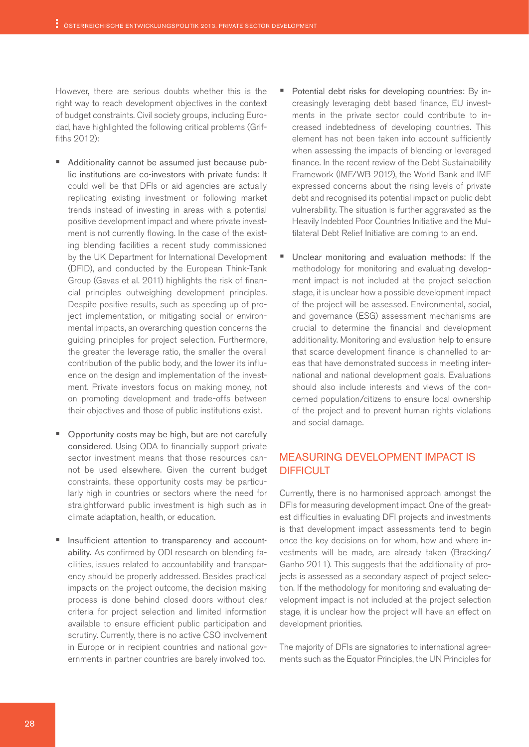However, there are serious doubts whether this is the right way to reach development objectives in the context of budget constraints. Civil society groups, including Eurodad, have highlighted the following critical problems (Griffiths 2012):

- Additionality cannot be assumed just because public institutions are co-investors with private funds: It could well be that DFIs or aid agencies are actually replicating existing investment or following market trends instead of investing in areas with a potential positive development impact and where private investment is not currently flowing. In the case of the existing blending facilities a recent study commissioned by the UK Department for International Development (DFID), and conducted by the European Think-Tank Group (Gavas et al. 2011) highlights the risk of financial principles outweighing development principles. Despite positive results, such as speeding up of project implementation, or mitigating social or environmental impacts, an overarching question concerns the guiding principles for project selection. Furthermore, the greater the leverage ratio, the smaller the overall contribution of the public body, and the lower its influence on the design and implementation of the investment. Private investors focus on making money, not on promoting development and trade-offs between their objectives and those of public institutions exist.
- Opportunity costs may be high, but are not carefully considered. Using ODA to financially support private sector investment means that those resources cannot be used elsewhere. Given the current budget constraints, these opportunity costs may be particularly high in countries or sectors where the need for straightforward public investment is high such as in climate adaptation, health, or education.
- Insufficient attention to transparency and accountability. As confirmed by ODI research on blending facilities, issues related to accountability and transparency should be properly addressed. Besides practical impacts on the project outcome, the decision making process is done behind closed doors without clear criteria for project selection and limited information available to ensure efficient public participation and scrutiny. Currently, there is no active CSO involvement in Europe or in recipient countries and national governments in partner countries are barely involved too.
- Potential debt risks for developing countries: By increasingly leveraging debt based finance, EU investments in the private sector could contribute to increased indebtedness of developing countries. This element has not been taken into account sufficiently when assessing the impacts of blending or leveraged finance. In the recent review of the Debt Sustainability Framework (IMF/WB 2012), the World Bank and IMF expressed concerns about the rising levels of private debt and recognised its potential impact on public debt vulnerability. The situation is further aggravated as the Heavily Indebted Poor Countries Initiative and the Multilateral Debt Relief Initiative are coming to an end.
- Unclear monitoring and evaluation methods: If the methodology for monitoring and evaluating development impact is not included at the project selection stage, it is unclear how a possible development impact of the project will be assessed. Environmental, social, and governance (ESG) assessment mechanisms are crucial to determine the financial and development additionality. Monitoring and evaluation help to ensure that scarce development finance is channelled to areas that have demonstrated success in meeting international and national development goals. Evaluations should also include interests and views of the concerned population/citizens to ensure local ownership of the project and to prevent human rights violations and social damage.

### Measuring development impact is **DIFFICULT**

Currently, there is no harmonised approach amongst the DFIs for measuring development impact. One of the greatest difficulties in evaluating DFI projects and investments is that development impact assessments tend to begin once the key decisions on for whom, how and where investments will be made, are already taken (Bracking/ Ganho 2011). This suggests that the additionality of projects is assessed as a secondary aspect of project selection. If the methodology for monitoring and evaluating development impact is not included at the project selection stage, it is unclear how the project will have an effect on development priorities.

The majority of DFIs are signatories to international agreements such as the Equator Principles, the UN Principles for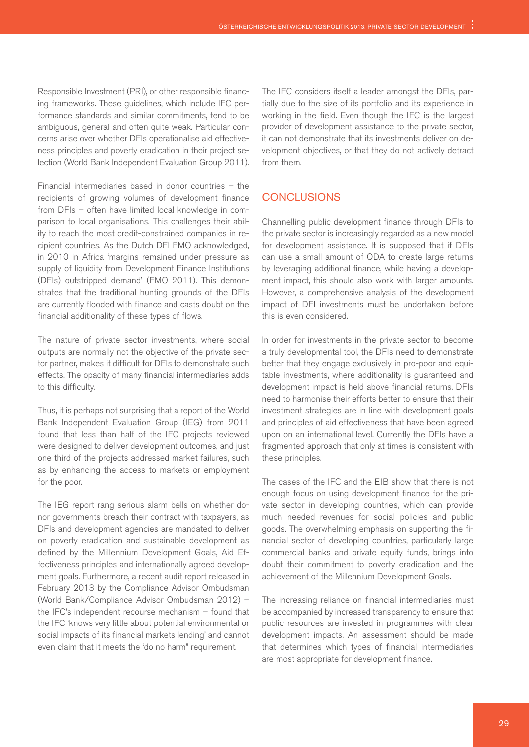Responsible Investment (PRI), or other responsible financing frameworks. These guidelines, which include IFC performance standards and similar commitments, tend to be ambiguous, general and often quite weak. Particular concerns arise over whether DFIs operationalise aid effectiveness principles and poverty eradication in their project selection (World Bank Independent Evaluation Group 2011).

Financial intermediaries based in donor countries – the recipients of growing volumes of development finance from DFIs – often have limited local knowledge in comparison to local organisations. This challenges their ability to reach the most credit-constrained companies in recipient countries. As the Dutch DFI FMO acknowledged, in 2010 in Africa 'margins remained under pressure as supply of liquidity from Development Finance Institutions (DFIs) outstripped demand' (FMO 2011). This demonstrates that the traditional hunting grounds of the DFIs are currently flooded with finance and casts doubt on the financial additionality of these types of flows.

The nature of private sector investments, where social outputs are normally not the objective of the private sector partner, makes it difficult for DFIs to demonstrate such effects. The opacity of many financial intermediaries adds to this difficulty.

Thus, it is perhaps not surprising that a report of the World Bank Independent Evaluation Group (IEG) from 2011 found that less than half of the IFC projects reviewed were designed to deliver development outcomes, and just one third of the projects addressed market failures, such as by enhancing the access to markets or employment for the poor.

The IEG report rang serious alarm bells on whether donor governments breach their contract with taxpayers, as DFIs and development agencies are mandated to deliver on poverty eradication and sustainable development as defined by the Millennium Development Goals, Aid Effectiveness principles and internationally agreed development goals. Furthermore, a recent audit report released in February 2013 by the Compliance Advisor Ombudsman (World Bank/Compliance Advisor Ombudsman 2012) – the IFC's independent recourse mechanism – found that the IFC 'knows very little about potential environmental or social impacts of its financial markets lending' and cannot even claim that it meets the 'do no harm" requirement.

The IFC considers itself a leader amongst the DFIs, partially due to the size of its portfolio and its experience in working in the field. Even though the IFC is the largest provider of development assistance to the private sector, it can not demonstrate that its investments deliver on development objectives, or that they do not actively detract from them.

#### **CONCLUSIONS**

Channelling public development finance through DFIs to the private sector is increasingly regarded as a new model for development assistance. It is supposed that if DFIs can use a small amount of ODA to create large returns by leveraging additional finance, while having a development impact, this should also work with larger amounts. However, a comprehensive analysis of the development impact of DFI investments must be undertaken before this is even considered.

In order for investments in the private sector to become a truly developmental tool, the DFIs need to demonstrate better that they engage exclusively in pro-poor and equitable investments, where additionality is guaranteed and development impact is held above financial returns. DFIs need to harmonise their efforts better to ensure that their investment strategies are in line with development goals and principles of aid effectiveness that have been agreed upon on an international level. Currently the DFIs have a fragmented approach that only at times is consistent with these principles.

The cases of the IFC and the EIB show that there is not enough focus on using development finance for the private sector in developing countries, which can provide much needed revenues for social policies and public goods. The overwhelming emphasis on supporting the financial sector of developing countries, particularly large commercial banks and private equity funds, brings into doubt their commitment to poverty eradication and the achievement of the Millennium Development Goals.

The increasing reliance on financial intermediaries must be accompanied by increased transparency to ensure that public resources are invested in programmes with clear development impacts. An assessment should be made that determines which types of financial intermediaries are most appropriate for development finance.